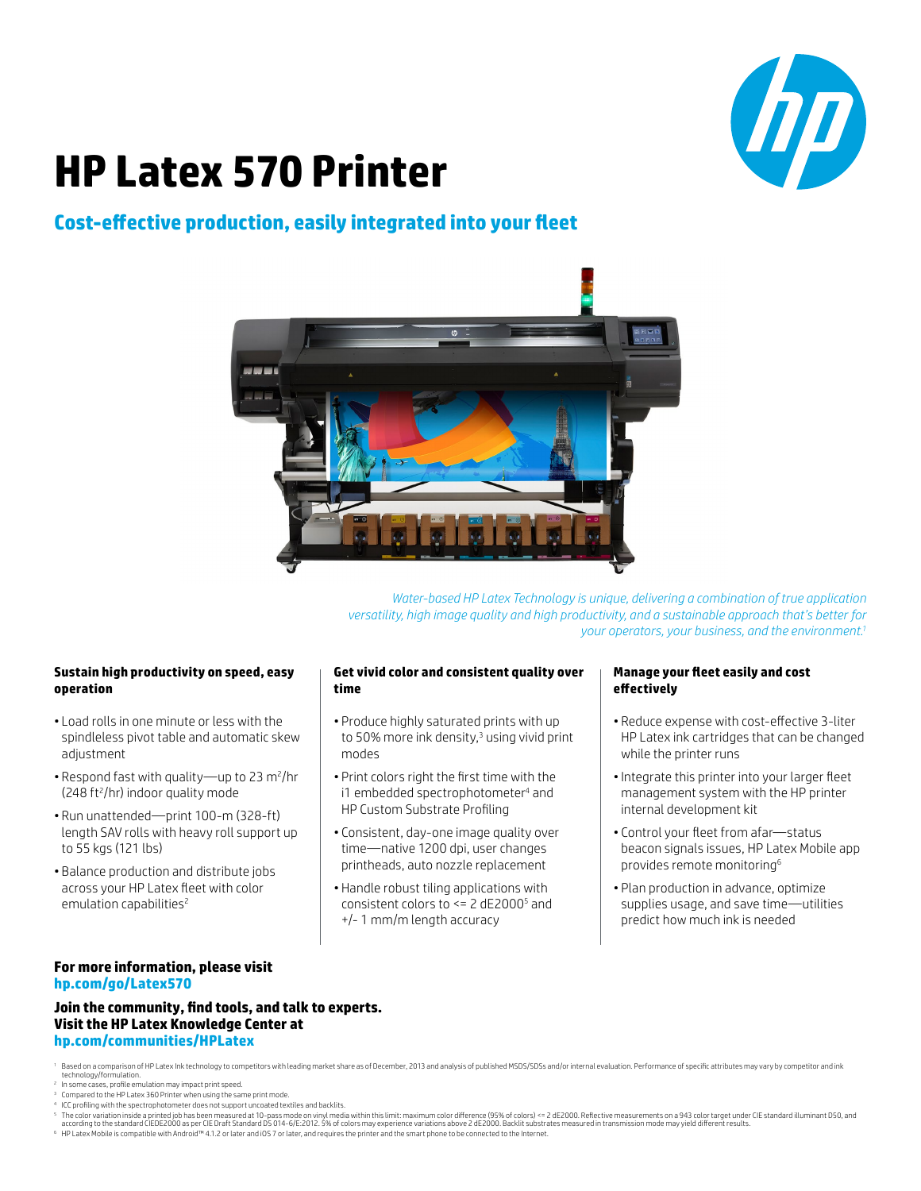

# **HP Latex 570 Printer**

# **Cost-effective production, easily integrated into your fleet**



*Water-based HP Latex Technology is unique, delivering a combination of true application versatility, high image quality and high productivity, and a sustainable approach that's better for your operators, your business, and the environment.1*

# **Sustain high productivity on speed, easy operation**

- Load rolls in one minute or less with the spindleless pivot table and automatic skew adjustment
- Respond fast with quality—up to 23 m<sup>2</sup>/hr (248 ft<sup>2</sup>/hr) indoor quality mode
- Run unattended—print 100-m (328-ft) length SAV rolls with heavy roll support up to 55 kgs (121 lbs)
- Balance production and distribute jobs across your HP Latex fleet with color emulation capabilities<sup>2</sup>

# **Get vivid color and consistent quality over time**

- Produce highly saturated prints with up to 50% more ink density,<sup>3</sup> using vivid print modes
- Print colors right the first time with the i1 embedded spectrophotometer<sup>4</sup> and HP Custom Substrate Profiling
- Consistent, day-one image quality over time—native 1200 dpi, user changes printheads, auto nozzle replacement
- Handle robust tiling applications with consistent colors to <= 2 dE2000<sup>5</sup> and +/- 1 mm/m length accuracy

## **Manage your fleet easily and cost effectively**

- Reduce expense with cost-effective 3-liter HP Latex ink cartridges that can be changed while the printer runs
- •Integrate this printer into your larger fleet management system with the HP printer internal development kit
- Control your fleet from afar—status beacon signals issues, HP Latex Mobile app provides remote monitoring6
- Plan production in advance, optimize supplies usage, and save time—utilities predict how much ink is needed

# **For more information, please visit [hp.com/go/L](http://hp.com/go/Latex570)atex570**

**Join the community, find tools, and talk to experts. Visit the HP Latex Knowledge Center at [hp.com/communities/HPLatex](http://hp.com/communities/HPLatex)**

<sup>1</sup> Based on a comparison of HP Latex Ink technology to competitors with leading market share as of December, 2013 and analysis of published MSDS/SDSs and/or internal evaluation. Performance of specific attributes may var

- 
- <sup>3</sup> Compared to the HP Latex 360 Printer when using the same print mode.
- ICC profiling with the spectrophotometer does not support uncoated textiles and backlits.
- Fhe color variation inside a printed job has been measured at 10-pass mode on vinyl media within this limit: maximum color difference (95% of colors) <= 2 dE2000. Reflective measurements on a 943 color target under CIE s <sup>6</sup> HP Latex Mobile is compatible with Android™ 4.1.2 or later and iOS 7 or later, and requires the printer and the smart phone to be connected to the Internet.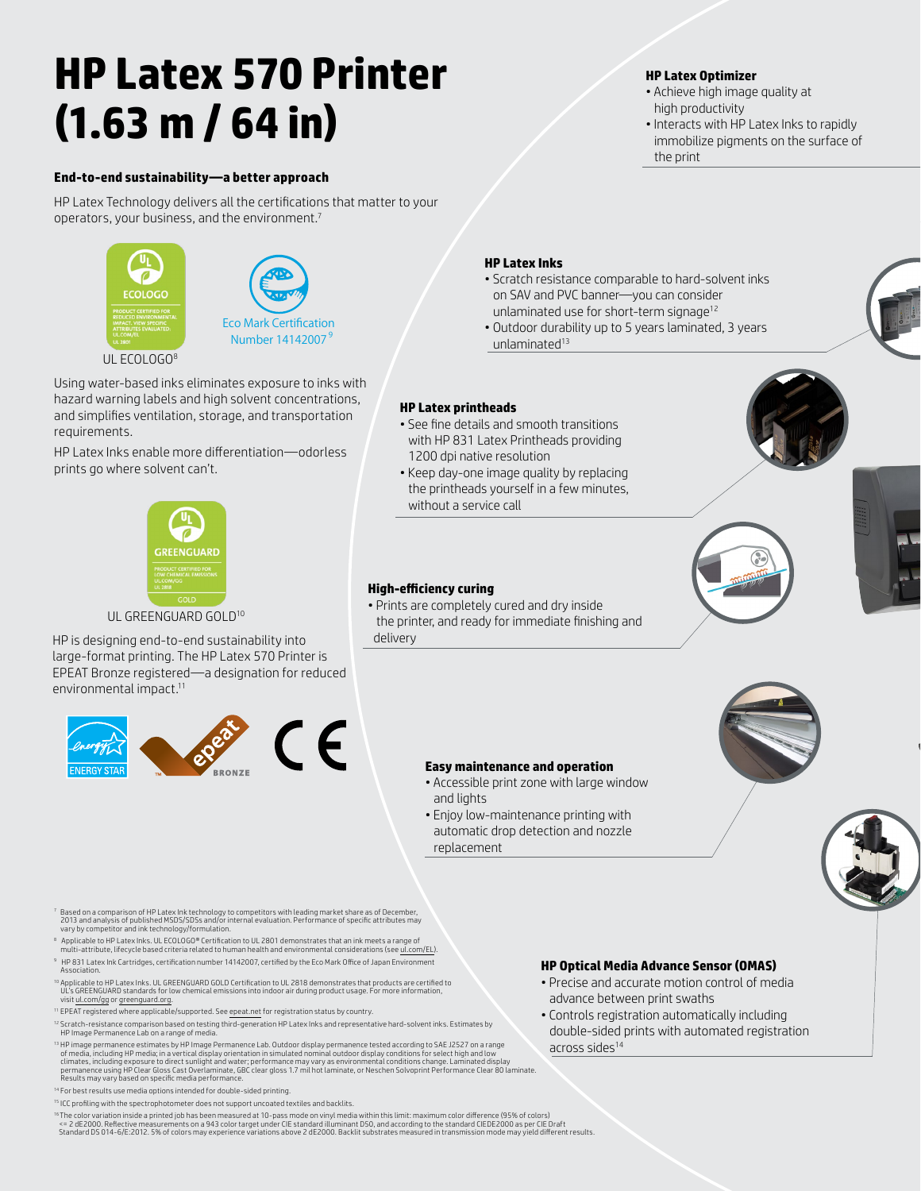# **HP Latex 570 Printer (1.63 m / 64 in)**

### **End-to-end sustainability—a better approach**

HP Latex Technology delivers all the certifications that matter to your operators, your business, and the environment.7



UL ECOLOGO8

Using water-based inks eliminates exposure to inks with hazard warning labels and high solvent concentrations, and simplifies ventilation, storage, and transportation requirements.

HP Latex Inks enable more differentiation—odorless prints go where solvent can't.



UL GREENGUARD GOLD<sup>10</sup>

HP is designing end-to-end sustainability into large-format printing. The HP Latex 570 Printer is EPEAT Bronze registered—a designation for reduced environmental impact.11



# • Achieve high image quality at

**HP Latex Optimizer**

- high productivity • Interacts with HP Latex Inks to rapidly
- immobilize pigments on the surface of the print

### **HP Latex Inks**

- Scratch resistance comparable to hard-solvent inks on SAV and PVC banner—you can consider unlaminated use for short-term signage<sup>12</sup>
- Outdoor durability up to 5 years laminated, 3 years unlaminated<sup>13</sup>

# **HP Latex printheads**

- See fine details and smooth transitions with HP 831 Latex Printheads providing 1200 dpi native resolution
- Keep day-one image quality by replacing the printheads yourself in a few minutes, without a service call





# **High-efficiency curing**

and lights

• Prints are completely cured and dry inside the printer, and ready for immediate finishing and delivery





- Passed on a comparison of HP Latex Ink technology to competitors with leading market share as of December,<br>2013 and analysis of published MSDS/SDSs and/or internal evaluation. Performance of specific attributes may<br>vary by
- 8 <sup>8</sup> Applicable to HP Latex Inks. UL ECOLOGO® Certification to UL 2801 demonstrates that an ink meets a range of<br>multi-attribute, lifecycle based criteria related to human health and environmental considerations (see ul.c HP 831 Latex Ink Cartridges, certification number 14142007, certified by the Eco Mark Office of Japan Environment
- Association.
- <sup>10</sup> Applicable to HP Latex Inks. UL GREENGUARD GOLD Certification to UL 2818 demonstrates that products are certified to<br>UL's GREENGUARD standards for low chemical emissions into indoor air during product usage. For more visit <u>ul.com/gg</u> or [greenguard.org.](http://greenguard.org)
- <sup>11</sup> EPEAT registered where applicable/supported. See [epeat.net](http://epeat.net) for registration status by country.
- <sup>12</sup> Scratch-resistance comparison based on testing third-generation HP Latex Inks and representative hard-solvent inks. Estimates by<br>HP Image Permanence Lab on a range of media.
- <sup>13</sup> HP image permanence estimates by HP Image Permanence Lab. Outdoor display permanence tested according to SAE J2527 on a range of media, including HP media; in a vertical display orientation in simulated nominal outdoor display conditions for select high and low<br>climates, including exposure to direct sunlight and water; performance may vary as env Results may vary based on specific media performance.
- 14 For best results use media options intended for double-sided printing.
- <sup>15</sup> ICC profiling with the spectrophotometer does not support uncoated textiles and backlits.
- <sup>16</sup> The color variation inside a printed job has been measured at 10-pass mode on vinyl media within this limit: maximum color difference (95% of colors)<br><= 2 dE2000. Reflective measurements on a 943 color target under CI Standard DS 014-6/E:2012. 5% of colors may experience variations above 2 dE2000. Backlit substrates measured in transmission mode may yield different results.

### **HP Optical Media Advance Sensor (OMAS)**

- Precise and accurate motion control of media advance between print swaths
- Controls registration automatically including double-sided prints with automated registration across sides<sup>14</sup>
- **Easy maintenance and operation** • Accessible print zone with large window
- Enjoy low-maintenance printing with automatic drop detection and nozzle replacement

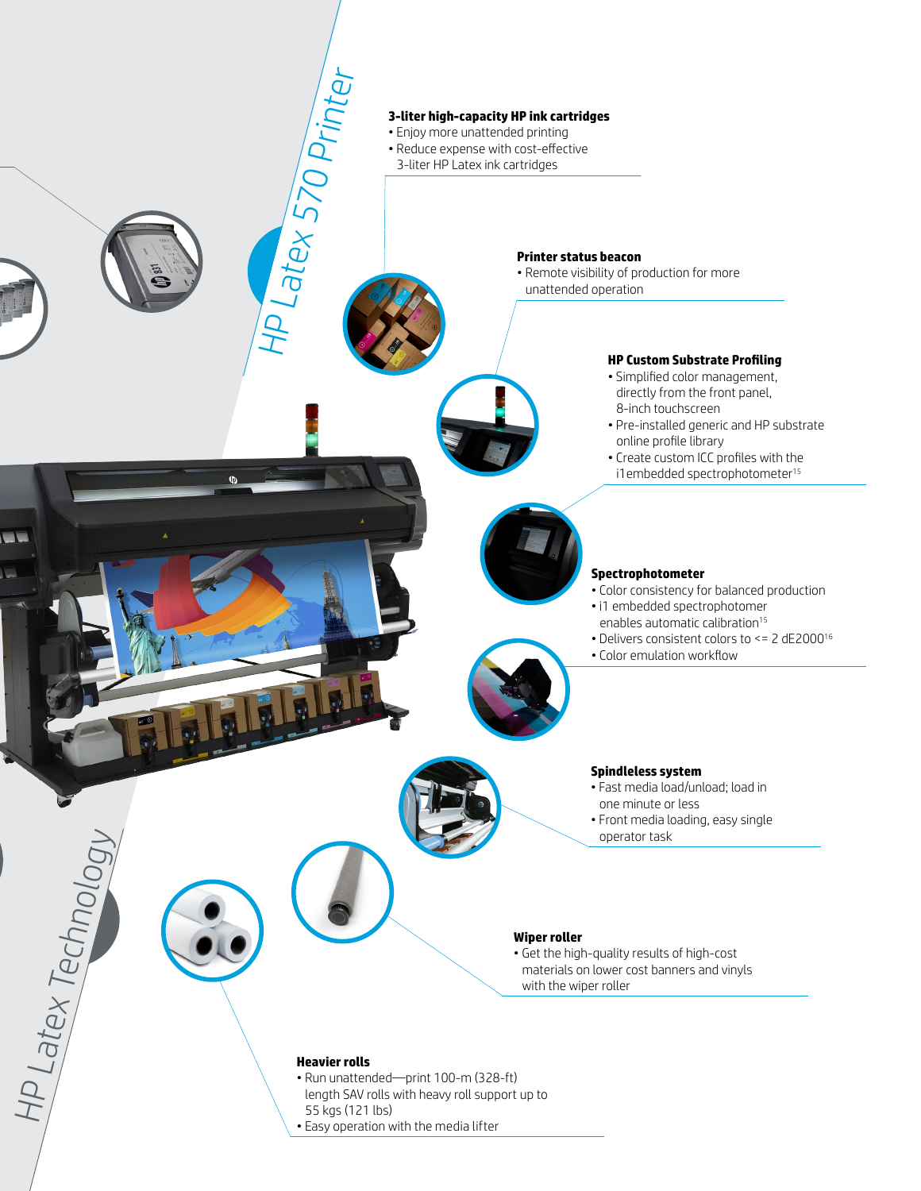